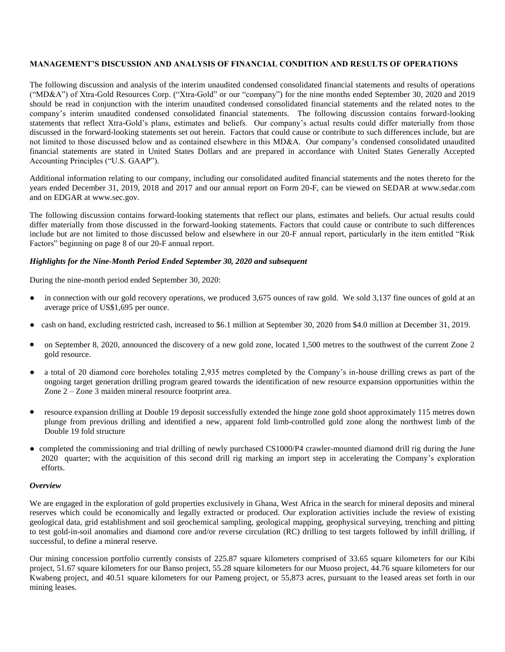# **MANAGEMENT'S DISCUSSION AND ANALYSIS OF FINANCIAL CONDITION AND RESULTS OF OPERATIONS**

The following discussion and analysis of the interim unaudited condensed consolidated financial statements and results of operations ("MD&A") of Xtra-Gold Resources Corp. ("Xtra-Gold" or our "company") for the nine months ended September 30, 2020 and 2019 should be read in conjunction with the interim unaudited condensed consolidated financial statements and the related notes to the company's interim unaudited condensed consolidated financial statements. The following discussion contains forward-looking statements that reflect Xtra-Gold's plans, estimates and beliefs. Our company's actual results could differ materially from those discussed in the forward-looking statements set out herein. Factors that could cause or contribute to such differences include, but are not limited to those discussed below and as contained elsewhere in this MD&A. Our company's condensed consolidated unaudited financial statements are stated in United States Dollars and are prepared in accordance with United States Generally Accepted Accounting Principles ("U.S. GAAP").

Additional information relating to our company, including our consolidated audited financial statements and the notes thereto for the years ended December 31, 2019, 2018 and 2017 and our annual report on Form 20-F, can be viewed on SEDAR at [www.sedar.com](http://www.sedar.com/) and on EDGAR at [www.sec.gov.](http://www.sec.gov/)

The following discussion contains forward-looking statements that reflect our plans, estimates and beliefs. Our actual results could differ materially from those discussed in the forward-looking statements. Factors that could cause or contribute to such differences include but are not limited to those discussed below and elsewhere in our 20-F annual report, particularly in the item entitled "Risk Factors" beginning on page 8 of our 20-F annual report.

### *Highlights for the Nine-Month Period Ended September 30, 2020 and subsequent*

During the nine-month period ended September 30, 2020:

- in connection with our gold recovery operations, we produced 3,675 ounces of raw gold. We sold 3,137 fine ounces of gold at an average price of US\$1,695 per ounce.
- cash on hand, excluding restricted cash, increased to \$6.1 million at September 30, 2020 from \$4.0 million at December 31, 2019.
- on September 8, 2020, announced the discovery of a new gold zone, located 1,500 metres to the southwest of the current Zone 2 gold resource.
- a total of 20 diamond core boreholes totaling 2,935 metres completed by the Company's in-house drilling crews as part of the ongoing target generation drilling program geared towards the identification of new resource expansion opportunities within the Zone 2 – Zone 3 maiden mineral resource footprint area.
- resource expansion drilling at Double 19 deposit successfully extended the hinge zone gold shoot approximately 115 metres down plunge from previous drilling and identified a new, apparent fold limb-controlled gold zone along the northwest limb of the Double 19 fold structure
- completed the commissioning and trial drilling of newly purchased CS1000/P4 crawler-mounted diamond drill rig during the June 2020 quarter; with the acquisition of this second drill rig marking an import step in accelerating the Company's exploration efforts.

### *Overview*

We are engaged in the exploration of gold properties exclusively in Ghana, West Africa in the search for mineral deposits and mineral reserves which could be economically and legally extracted or produced. Our exploration activities include the review of existing geological data, grid establishment and soil geochemical sampling, geological mapping, geophysical surveying, trenching and pitting to test gold-in-soil anomalies and diamond core and/or reverse circulation (RC) drilling to test targets followed by infill drilling, if successful, to define a mineral reserve.

Our mining concession portfolio currently consists of 225.87 square kilometers comprised of 33.65 square kilometers for our Kibi project, 51.67 square kilometers for our Banso project, 55.28 square kilometers for our Muoso project, 44.76 square kilometers for our Kwabeng project, and 40.51 square kilometers for our Pameng project, or 55,873 acres, pursuant to the leased areas set forth in our mining leases.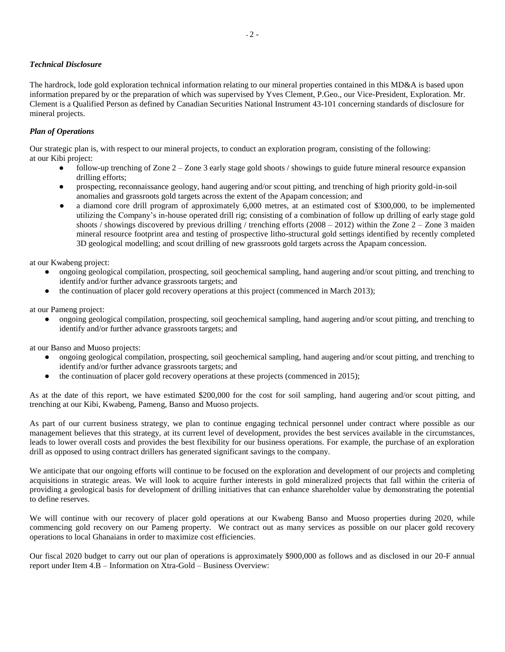# *Technical Disclosure*

The hardrock, lode gold exploration technical information relating to our mineral properties contained in this MD&A is based upon information prepared by or the preparation of which was supervised by Yves Clement, P.Geo., our Vice-President, Exploration. Mr. Clement is a Qualified Person as defined by Canadian Securities National Instrument 43-101 concerning standards of disclosure for mineral projects.

# *Plan of Operations*

Our strategic plan is, with respect to our mineral projects, to conduct an exploration program, consisting of the following: at our Kibi project:

- follow-up trenching of Zone  $2 -$ Zone 3 early stage gold shoots / showings to guide future mineral resource expansion drilling efforts;
- prospecting, reconnaissance geology, hand augering and/or scout pitting, and trenching of high priority gold-in-soil anomalies and grassroots gold targets across the extent of the Apapam concession; and
- **●** a diamond core drill program of approximately 6,000 metres, at an estimated cost of \$300,000, to be implemented utilizing the Company's in-house operated drill rig; consisting of a combination of follow up drilling of early stage gold shoots / showings discovered by previous drilling / trenching efforts (2008 – 2012) within the Zone  $2$  – Zone 3 maiden mineral resource footprint area and testing of prospective litho-structural gold settings identified by recently completed 3D geological modelling; and scout drilling of new grassroots gold targets across the Apapam concession.

at our Kwabeng project:

- **●** ongoing geological compilation, prospecting, soil geochemical sampling, hand augering and/or scout pitting, and trenching to identify and/or further advance grassroots targets; and
- **●** the continuation of placer gold recovery operations at this project (commenced in March 2013);

at our Pameng project:

● ongoing geological compilation, prospecting, soil geochemical sampling, hand augering and/or scout pitting, and trenching to identify and/or further advance grassroots targets; and

at our Banso and Muoso projects:

- **●** ongoing geological compilation, prospecting, soil geochemical sampling, hand augering and/or scout pitting, and trenching to identify and/or further advance grassroots targets; and
- the continuation of placer gold recovery operations at these projects (commenced in 2015);

As at the date of this report, we have estimated \$200,000 for the cost for soil sampling, hand augering and/or scout pitting, and trenching at our Kibi, Kwabeng, Pameng, Banso and Muoso projects.

As part of our current business strategy, we plan to continue engaging technical personnel under contract where possible as our management believes that this strategy, at its current level of development, provides the best services available in the circumstances, leads to lower overall costs and provides the best flexibility for our business operations. For example, the purchase of an exploration drill as opposed to using contract drillers has generated significant savings to the company.

We anticipate that our ongoing efforts will continue to be focused on the exploration and development of our projects and completing acquisitions in strategic areas. We will look to acquire further interests in gold mineralized projects that fall within the criteria of providing a geological basis for development of drilling initiatives that can enhance shareholder value by demonstrating the potential to define reserves.

We will continue with our recovery of placer gold operations at our Kwabeng Banso and Muoso properties during 2020, while commencing gold recovery on our Pameng property. We contract out as many services as possible on our placer gold recovery operations to local Ghanaians in order to maximize cost efficiencies.

Our fiscal 2020 budget to carry out our plan of operations is approximately \$900,000 as follows and as disclosed in our 20-F annual report under Item 4.B – Information on Xtra-Gold – Business Overview: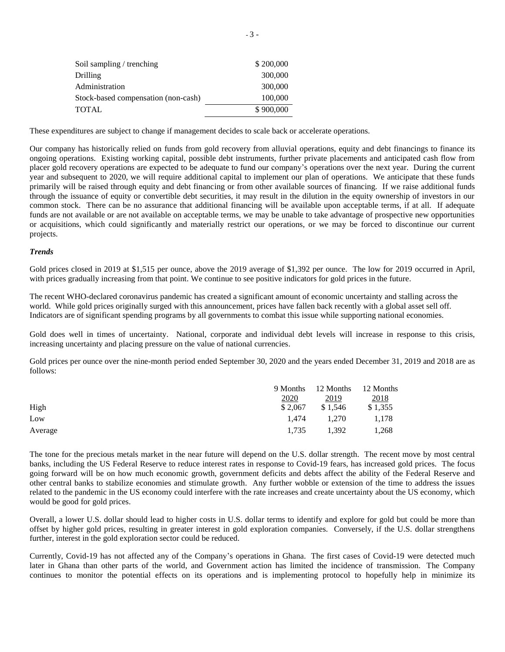| Soil sampling / trenching           | \$200,000 |
|-------------------------------------|-----------|
| <b>Drilling</b>                     | 300,000   |
| Administration                      | 300,000   |
| Stock-based compensation (non-cash) | 100,000   |
| <b>TOTAL</b>                        | \$900,000 |

These expenditures are subject to change if management decides to scale back or accelerate operations.

Our company has historically relied on funds from gold recovery from alluvial operations, equity and debt financings to finance its ongoing operations. Existing working capital, possible debt instruments, further private placements and anticipated cash flow from placer gold recovery operations are expected to be adequate to fund our company's operations over the next year. During the current year and subsequent to 2020, we will require additional capital to implement our plan of operations. We anticipate that these funds primarily will be raised through equity and debt financing or from other available sources of financing. If we raise additional funds through the issuance of equity or convertible debt securities, it may result in the dilution in the equity ownership of investors in our common stock. There can be no assurance that additional financing will be available upon acceptable terms, if at all. If adequate funds are not available or are not available on acceptable terms, we may be unable to take advantage of prospective new opportunities or acquisitions, which could significantly and materially restrict our operations, or we may be forced to discontinue our current projects.

#### *Trends*

Gold prices closed in 2019 at \$1,515 per ounce, above the 2019 average of \$1,392 per ounce. The low for 2019 occurred in April, with prices gradually increasing from that point. We continue to see positive indicators for gold prices in the future.

The recent WHO-declared coronavirus pandemic has created a significant amount of economic uncertainty and stalling across the world. While gold prices originally surged with this announcement, prices have fallen back recently with a global asset sell off. Indicators are of significant spending programs by all governments to combat this issue while supporting national economies.

Gold does well in times of uncertainty. National, corporate and individual debt levels will increase in response to this crisis, increasing uncertainty and placing pressure on the value of national currencies.

Gold prices per ounce over the nine-month period ended September 30, 2020 and the years ended December 31, 2019 and 2018 are as follows:

|         |         | 9 Months 12 Months 12 Months |         |
|---------|---------|------------------------------|---------|
|         | 2020    | 2019                         | 2018    |
| High    | \$2.067 | \$1.546                      | \$1,355 |
| Low     | 1.474   | 1.270                        | 1.178   |
| Average | 1.735   | 1.392                        | 1,268   |

The tone for the precious metals market in the near future will depend on the U.S. dollar strength. The recent move by most central banks, including the US Federal Reserve to reduce interest rates in response to Covid-19 fears, has increased gold prices. The focus going forward will be on how much economic growth, government deficits and debts affect the ability of the Federal Reserve and other central banks to stabilize economies and stimulate growth. Any further wobble or extension of the time to address the issues related to the pandemic in the US economy could interfere with the rate increases and create uncertainty about the US economy, which would be good for gold prices.

Overall, a lower U.S. dollar should lead to higher costs in U.S. dollar terms to identify and explore for gold but could be more than offset by higher gold prices, resulting in greater interest in gold exploration companies. Conversely, if the U.S. dollar strengthens further, interest in the gold exploration sector could be reduced.

Currently, Covid-19 has not affected any of the Company's operations in Ghana. The first cases of Covid-19 were detected much later in Ghana than other parts of the world, and Government action has limited the incidence of transmission. The Company continues to monitor the potential effects on its operations and is implementing protocol to hopefully help in minimize its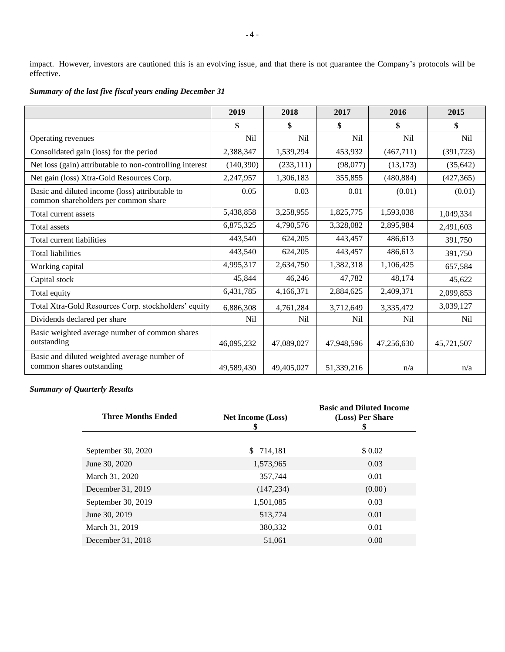impact. However, investors are cautioned this is an evolving issue, and that there is not guarantee the Company's protocols will be effective.

|                                                                                         | 2019       | 2018            | 2017            | 2016            | 2015            |
|-----------------------------------------------------------------------------------------|------------|-----------------|-----------------|-----------------|-----------------|
|                                                                                         | \$         | \$              | \$              | \$              | \$              |
| Operating revenues                                                                      | <b>Nil</b> | <b>Nil</b>      | <b>Nil</b>      | N <sub>il</sub> | N <sub>il</sub> |
| Consolidated gain (loss) for the period                                                 | 2,388,347  | 1,539,294       | 453,932         | (467, 711)      | (391, 723)      |
| Net loss (gain) attributable to non-controlling interest                                | (140,390)  | (233,111)       | (98,077)        | (13, 173)       | (35, 642)       |
| Net gain (loss) Xtra-Gold Resources Corp.                                               | 2,247,957  | 1,306,183       | 355,855         | (480, 884)      | (427, 365)      |
| Basic and diluted income (loss) attributable to<br>common shareholders per common share | 0.05       | 0.03            | 0.01            | (0.01)          | (0.01)          |
| Total current assets                                                                    | 5,438,858  | 3,258,955       | 1,825,775       | 1,593,038       | 1,049,334       |
| Total assets                                                                            | 6,875,325  | 4,790,576       | 3,328,082       | 2,895,984       | 2,491,603       |
| Total current liabilities                                                               | 443,540    | 624,205         | 443,457         | 486,613         | 391,750         |
| <b>Total liabilities</b>                                                                | 443,540    | 624,205         | 443,457         | 486,613         | 391,750         |
| Working capital                                                                         | 4,995,317  | 2,634,750       | 1,382,318       | 1,106,425       | 657,584         |
| Capital stock                                                                           | 45,844     | 46,246          | 47,782          | 48,174          | 45,622          |
| Total equity                                                                            | 6,431,785  | 4,166,371       | 2,884,625       | 2,409,371       | 2,099,853       |
| Total Xtra-Gold Resources Corp. stockholders' equity                                    | 6,886,308  | 4,761,284       | 3,712,649       | 3,335,472       | 3,039,127       |
| Dividends declared per share                                                            | Nil        | N <sub>il</sub> | N <sub>il</sub> | <b>Nil</b>      | N <sub>il</sub> |
| Basic weighted average number of common shares<br>outstanding                           | 46,095,232 | 47,089,027      | 47,948,596      | 47,256,630      | 45,721,507      |
| Basic and diluted weighted average number of<br>common shares outstanding               | 49,589,430 | 49,405,027      | 51,339,216      | n/a             | n/a             |

# *Summary of the last five fiscal years ending December 31*

# *Summary of Quarterly Results*

| <b>Three Months Ended</b> | <b>Net Income (Loss)</b><br>\$ | <b>Basic and Diluted Income</b><br>(Loss) Per Share<br>5 |
|---------------------------|--------------------------------|----------------------------------------------------------|
|                           |                                |                                                          |
| September 30, 2020        | 714,181<br>S.                  | \$ 0.02                                                  |
| June 30, 2020             | 1,573,965                      | 0.03                                                     |
| March 31, 2020            | 357,744                        | 0.01                                                     |
| December 31, 2019         | (147, 234)                     | (0.00)                                                   |
| September 30, 2019        | 1,501,085                      | 0.03                                                     |
| June 30, 2019             | 513,774                        | 0.01                                                     |
| March 31, 2019            | 380,332                        | 0.01                                                     |
| December 31, 2018         | 51,061                         | 0.00                                                     |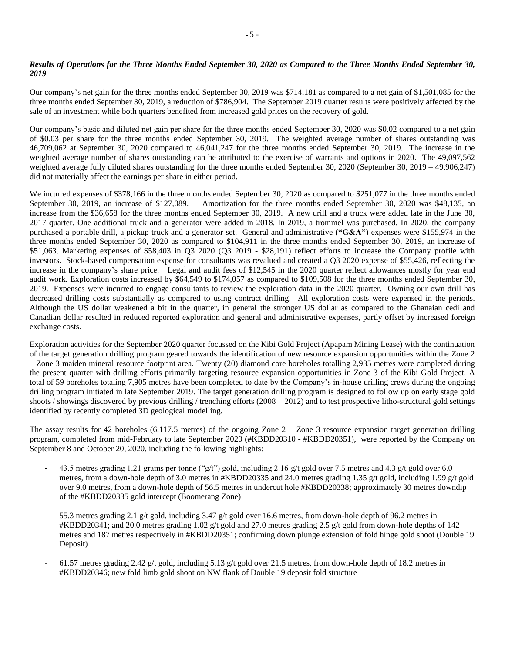# *Results of Operations for the Three Months Ended September 30, 2020 as Compared to the Three Months Ended September 30, 2019*

Our company's net gain for the three months ended September 30, 2019 was \$714,181 as compared to a net gain of \$1,501,085 for the three months ended September 30, 2019, a reduction of \$786,904. The September 2019 quarter results were positively affected by the sale of an investment while both quarters benefited from increased gold prices on the recovery of gold.

Our company's basic and diluted net gain per share for the three months ended September 30, 2020 was \$0.02 compared to a net gain of \$0.03 per share for the three months ended September 30, 2019. The weighted average number of shares outstanding was 46,709,062 at September 30, 2020 compared to 46,041,247 for the three months ended September 30, 2019. The increase in the weighted average number of shares outstanding can be attributed to the exercise of warrants and options in 2020. The 49,097,562 weighted average fully diluted shares outstanding for the three months ended September 30, 2020 (September 30, 2019 – 49,906,247) did not materially affect the earnings per share in either period.

We incurred expenses of \$378,166 in the three months ended September 30, 2020 as compared to \$251,077 in the three months ended September 30, 2019, an increase of \$127,089. Amortization for the three months ended September 30, 2020 was \$48,135, an increase from the \$36,658 for the three months ended September 30, 2019. A new drill and a truck were added late in the June 30, 2017 quarter. One additional truck and a generator were added in 2018. In 2019, a trommel was purchased. In 2020, the company purchased a portable drill, a pickup truck and a generator set. General and administrative (**"G&A"**) expenses were \$155,974 in the three months ended September 30, 2020 as compared to \$104,911 in the three months ended September 30, 2019, an increase of \$51,063. Marketing expenses of \$58,403 in Q3 2020 (Q3 2019 - \$28,191) reflect efforts to increase the Company profile with investors. Stock-based compensation expense for consultants was revalued and created a Q3 2020 expense of \$55,426, reflecting the increase in the company's share price. Legal and audit fees of \$12,545 in the 2020 quarter reflect allowances mostly for year end audit work. Exploration costs increased by \$64,549 to \$174,057 as compared to \$109,508 for the three months ended September 30, 2019. Expenses were incurred to engage consultants to review the exploration data in the 2020 quarter. Owning our own drill has decreased drilling costs substantially as compared to using contract drilling. All exploration costs were expensed in the periods. Although the US dollar weakened a bit in the quarter, in general the stronger US dollar as compared to the Ghanaian cedi and Canadian dollar resulted in reduced reported exploration and general and administrative expenses, partly offset by increased foreign exchange costs.

Exploration activities for the September 2020 quarter focussed on the Kibi Gold Project (Apapam Mining Lease) with the continuation of the target generation drilling program geared towards the identification of new resource expansion opportunities within the Zone 2 – Zone 3 maiden mineral resource footprint area. Twenty (20) diamond core boreholes totalling 2,935 metres were completed during the present quarter with drilling efforts primarily targeting resource expansion opportunities in Zone 3 of the Kibi Gold Project. A total of 59 boreholes totaling 7,905 metres have been completed to date by the Company's in-house drilling crews during the ongoing drilling program initiated in late September 2019. The target generation drilling program is designed to follow up on early stage gold shoots / showings discovered by previous drilling / trenching efforts (2008 – 2012) and to test prospective litho-structural gold settings identified by recently completed 3D geological modelling.

The assay results for 42 boreholes (6,117.5 metres) of the ongoing Zone  $2 -$ Zone 3 resource expansion target generation drilling program, completed from mid-February to late September 2020 (#KBDD20310 - #KBDD20351), were reported by the Company on September 8 and October 20, 2020, including the following highlights:

- 43.5 metres grading 1.21 grams per tonne ("g/t") gold, including 2.16 g/t gold over 7.5 metres and 4.3 g/t gold over 6.0 metres, from a down-hole depth of 3.0 metres in #KBDD20335 and 24.0 metres grading 1.35 g/t gold, including 1.99 g/t gold over 9.0 metres, from a down-hole depth of 56.5 metres in undercut hole #KBDD20338; approximately 30 metres downdip of the #KBDD20335 gold intercept (Boomerang Zone)
- 55.3 metres grading 2.1 g/t gold, including 3.47 g/t gold over 16.6 metres, from down-hole depth of 96.2 metres in #KBDD20341; and 20.0 metres grading 1.02 g/t gold and 27.0 metres grading 2.5 g/t gold from down-hole depths of 142 metres and 187 metres respectively in #KBDD20351; confirming down plunge extension of fold hinge gold shoot (Double 19 Deposit)
- 61.57 metres grading 2.42 g/t gold, including 5.13 g/t gold over 21.5 metres, from down-hole depth of 18.2 metres in #KBDD20346; new fold limb gold shoot on NW flank of Double 19 deposit fold structure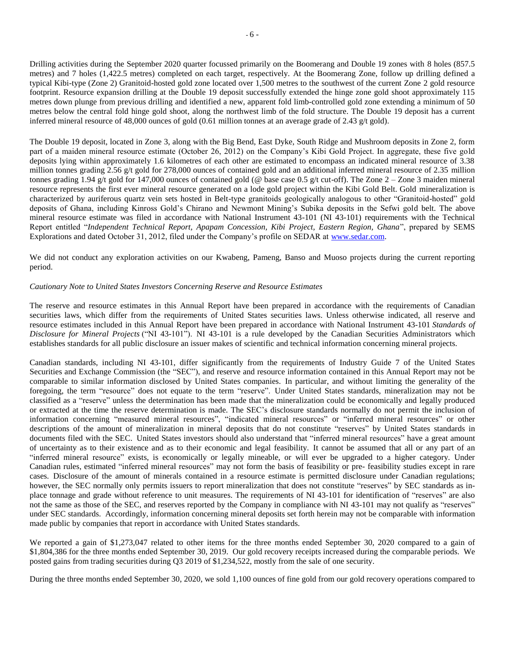Drilling activities during the September 2020 quarter focussed primarily on the Boomerang and Double 19 zones with 8 holes (857.5 metres) and 7 holes (1,422.5 metres) completed on each target, respectively. At the Boomerang Zone, follow up drilling defined a typical Kibi-type (Zone 2) Granitoid-hosted gold zone located over 1,500 metres to the southwest of the current Zone 2 gold resource footprint. Resource expansion drilling at the Double 19 deposit successfully extended the hinge zone gold shoot approximately 115 metres down plunge from previous drilling and identified a new, apparent fold limb-controlled gold zone extending a minimum of 50 metres below the central fold hinge gold shoot, along the northwest limb of the fold structure. The Double 19 deposit has a current inferred mineral resource of 48,000 ounces of gold (0.61 million tonnes at an average grade of 2.43 g/t gold).

The Double 19 deposit, located in Zone 3, along with the Big Bend, East Dyke, South Ridge and Mushroom deposits in Zone 2, form part of a maiden mineral resource estimate (October 26, 2012) on the Company's Kibi Gold Project. In aggregate, these five gold deposits lying within approximately 1.6 kilometres of each other are estimated to encompass an indicated mineral resource of 3.38 million tonnes grading 2.56 g/t gold for 278,000 ounces of contained gold and an additional inferred mineral resource of 2.35 million tonnes grading 1.94 g/t gold for 147,000 ounces of contained gold (@ base case 0.5 g/t cut-off). The Zone 2 – Zone 3 maiden mineral resource represents the first ever mineral resource generated on a lode gold project within the Kibi Gold Belt. Gold mineralization is characterized by auriferous quartz vein sets hosted in Belt-type granitoids geologically analogous to other "Granitoid-hosted" gold deposits of Ghana, including Kinross Gold's Chirano and Newmont Mining's Subika deposits in the Sefwi gold belt. The above mineral resource estimate was filed in accordance with National Instrument 43-101 (NI 43-101) requirements with the Technical Report entitled "*Independent Technical Report, Apapam Concession, Kibi Project, Eastern Region, Ghana*", prepared by SEMS Explorations and dated October 31, 2012, filed under the Company's profile on SEDAR at [www.sedar.com.](about:blank)

We did not conduct any exploration activities on our Kwabeng, Pameng, Banso and Muoso projects during the current reporting period.

### *Cautionary Note to United States Investors Concerning Reserve and Resource Estimates*

The reserve and resource estimates in this Annual Report have been prepared in accordance with the requirements of Canadian securities laws, which differ from the requirements of United States securities laws. Unless otherwise indicated, all reserve and resource estimates included in this Annual Report have been prepared in accordance with National Instrument 43-101 *Standards of Disclosure for Mineral Projects* ("NI 43-101"). NI 43-101 is a rule developed by the Canadian Securities Administrators which establishes standards for all public disclosure an issuer makes of scientific and technical information concerning mineral projects.

Canadian standards, including NI 43-101, differ significantly from the requirements of Industry Guide 7 of the United States Securities and Exchange Commission (the "SEC"), and reserve and resource information contained in this Annual Report may not be comparable to similar information disclosed by United States companies. In particular, and without limiting the generality of the foregoing, the term "resource" does not equate to the term "reserve". Under United States standards, mineralization may not be classified as a "reserve" unless the determination has been made that the mineralization could be economically and legally produced or extracted at the time the reserve determination is made. The SEC's disclosure standards normally do not permit the inclusion of information concerning "measured mineral resources", "indicated mineral resources" or "inferred mineral resources" or other descriptions of the amount of mineralization in mineral deposits that do not constitute "reserves" by United States standards in documents filed with the SEC. United States investors should also understand that "inferred mineral resources" have a great amount of uncertainty as to their existence and as to their economic and legal feasibility. It cannot be assumed that all or any part of an "inferred mineral resource" exists, is economically or legally mineable, or will ever be upgraded to a higher category. Under Canadian rules, estimated "inferred mineral resources" may not form the basis of feasibility or pre- feasibility studies except in rare cases. Disclosure of the amount of minerals contained in a resource estimate is permitted disclosure under Canadian regulations; however, the SEC normally only permits issuers to report mineralization that does not constitute "reserves" by SEC standards as inplace tonnage and grade without reference to unit measures. The requirements of NI 43-101 for identification of "reserves" are also not the same as those of the SEC, and reserves reported by the Company in compliance with NI 43-101 may not qualify as "reserves" under SEC standards. Accordingly, information concerning mineral deposits set forth herein may not be comparable with information made public by companies that report in accordance with United States standards.

We reported a gain of \$1,273,047 related to other items for the three months ended September 30, 2020 compared to a gain of \$1,804,386 for the three months ended September 30, 2019. Our gold recovery receipts increased during the comparable periods. We posted gains from trading securities during Q3 2019 of \$1,234,522, mostly from the sale of one security.

During the three months ended September 30, 2020, we sold 1,100 ounces of fine gold from our gold recovery operations compared to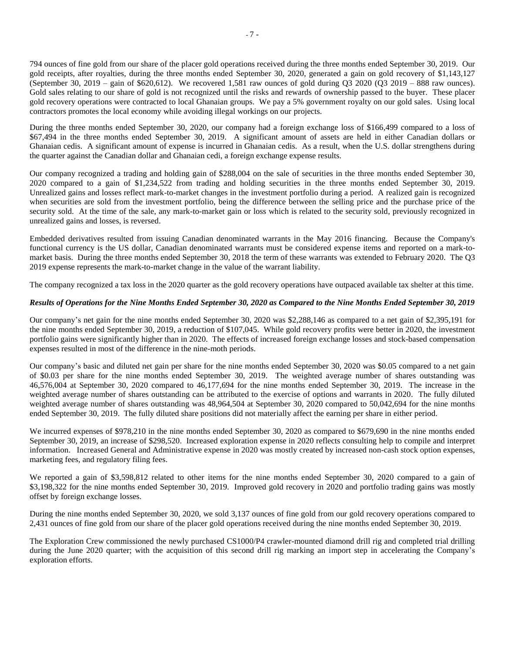794 ounces of fine gold from our share of the placer gold operations received during the three months ended September 30, 2019. Our gold receipts, after royalties, during the three months ended September 30, 2020, generated a gain on gold recovery of \$1,143,127 (September 30, 2019 – gain of \$620,612). We recovered 1,581 raw ounces of gold during  $Q_3$  2020 ( $\overline{Q}$ 3 2019 – 888 raw ounces). Gold sales relating to our share of gold is not recognized until the risks and rewards of ownership passed to the buyer. These placer gold recovery operations were contracted to local Ghanaian groups. We pay a 5% government royalty on our gold sales. Using local contractors promotes the local economy while avoiding illegal workings on our projects.

During the three months ended September 30, 2020, our company had a foreign exchange loss of \$166,499 compared to a loss of \$67,494 in the three months ended September 30, 2019. A significant amount of assets are held in either Canadian dollars or Ghanaian cedis. A significant amount of expense is incurred in Ghanaian cedis. As a result, when the U.S. dollar strengthens during the quarter against the Canadian dollar and Ghanaian cedi, a foreign exchange expense results.

Our company recognized a trading and holding gain of \$288,004 on the sale of securities in the three months ended September 30, 2020 compared to a gain of \$1,234,522 from trading and holding securities in the three months ended September 30, 2019. Unrealized gains and losses reflect mark-to-market changes in the investment portfolio during a period. A realized gain is recognized when securities are sold from the investment portfolio, being the difference between the selling price and the purchase price of the security sold. At the time of the sale, any mark-to-market gain or loss which is related to the security sold, previously recognized in unrealized gains and losses, is reversed.

Embedded derivatives resulted from issuing Canadian denominated warrants in the May 2016 financing. Because the Company's functional currency is the US dollar, Canadian denominated warrants must be considered expense items and reported on a mark-tomarket basis. During the three months ended September 30, 2018 the term of these warrants was extended to February 2020. The Q3 2019 expense represents the mark-to-market change in the value of the warrant liability.

The company recognized a tax loss in the 2020 quarter as the gold recovery operations have outpaced available tax shelter at this time.

### *Results of Operations for the Nine Months Ended September 30, 2020 as Compared to the Nine Months Ended September 30, 2019*

Our company's net gain for the nine months ended September 30, 2020 was \$2,288,146 as compared to a net gain of \$2,395,191 for the nine months ended September 30, 2019, a reduction of \$107,045. While gold recovery profits were better in 2020, the investment portfolio gains were significantly higher than in 2020. The effects of increased foreign exchange losses and stock-based compensation expenses resulted in most of the difference in the nine-moth periods.

Our company's basic and diluted net gain per share for the nine months ended September 30, 2020 was \$0.05 compared to a net gain of \$0.03 per share for the nine months ended September 30, 2019. The weighted average number of shares outstanding was 46,576,004 at September 30, 2020 compared to 46,177,694 for the nine months ended September 30, 2019. The increase in the weighted average number of shares outstanding can be attributed to the exercise of options and warrants in 2020. The fully diluted weighted average number of shares outstanding was 48,964,504 at September 30, 2020 compared to 50,042,694 for the nine months ended September 30, 2019. The fully diluted share positions did not materially affect the earning per share in either period.

We incurred expenses of \$978,210 in the nine months ended September 30, 2020 as compared to \$679,690 in the nine months ended September 30, 2019, an increase of \$298,520. Increased exploration expense in 2020 reflects consulting help to compile and interpret information. Increased General and Administrative expense in 2020 was mostly created by increased non-cash stock option expenses, marketing fees, and regulatory filing fees.

We reported a gain of \$3,598,812 related to other items for the nine months ended September 30, 2020 compared to a gain of \$3,198,322 for the nine months ended September 30, 2019. Improved gold recovery in 2020 and portfolio trading gains was mostly offset by foreign exchange losses.

During the nine months ended September 30, 2020, we sold 3,137 ounces of fine gold from our gold recovery operations compared to 2,431 ounces of fine gold from our share of the placer gold operations received during the nine months ended September 30, 2019.

The Exploration Crew commissioned the newly purchased CS1000/P4 crawler-mounted diamond drill rig and completed trial drilling during the June 2020 quarter; with the acquisition of this second drill rig marking an import step in accelerating the Company's exploration efforts.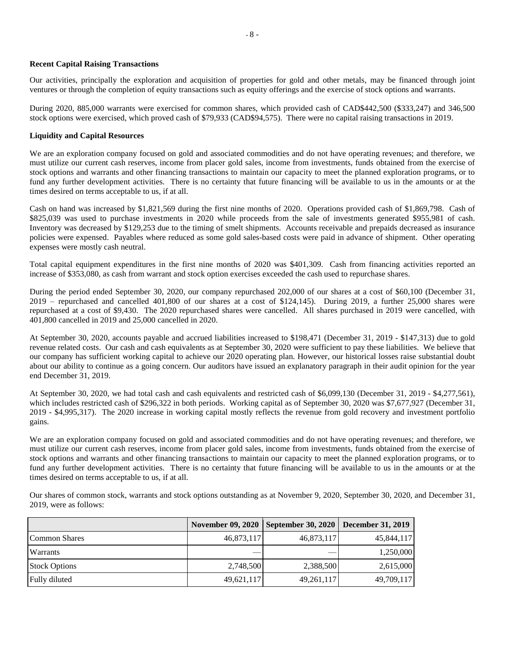### **Recent Capital Raising Transactions**

Our activities, principally the exploration and acquisition of properties for gold and other metals, may be financed through joint ventures or through the completion of equity transactions such as equity offerings and the exercise of stock options and warrants.

During 2020, 885,000 warrants were exercised for common shares, which provided cash of CAD\$442,500 (\$333,247) and 346,500 stock options were exercised, which proved cash of \$79,933 (CAD\$94,575). There were no capital raising transactions in 2019.

# **Liquidity and Capital Resources**

We are an exploration company focused on gold and associated commodities and do not have operating revenues; and therefore, we must utilize our current cash reserves, income from placer gold sales, income from investments, funds obtained from the exercise of stock options and warrants and other financing transactions to maintain our capacity to meet the planned exploration programs, or to fund any further development activities. There is no certainty that future financing will be available to us in the amounts or at the times desired on terms acceptable to us, if at all.

Cash on hand was increased by \$1,821,569 during the first nine months of 2020. Operations provided cash of \$1,869,798. Cash of \$825,039 was used to purchase investments in 2020 while proceeds from the sale of investments generated \$955,981 of cash. Inventory was decreased by \$129,253 due to the timing of smelt shipments. Accounts receivable and prepaids decreased as insurance policies were expensed. Payables where reduced as some gold sales-based costs were paid in advance of shipment. Other operating expenses were mostly cash neutral.

Total capital equipment expenditures in the first nine months of 2020 was \$401,309. Cash from financing activities reported an increase of \$353,080, as cash from warrant and stock option exercises exceeded the cash used to repurchase shares.

During the period ended September 30, 2020, our company repurchased 202,000 of our shares at a cost of \$60,100 (December 31, 2019 – repurchased and cancelled 401,800 of our shares at a cost of \$124,145). During 2019, a further 25,000 shares were repurchased at a cost of \$9,430. The 2020 repurchased shares were cancelled. All shares purchased in 2019 were cancelled, with 401,800 cancelled in 2019 and 25,000 cancelled in 2020.

At September 30, 2020, accounts payable and accrued liabilities increased to \$198,471 (December 31, 2019 - \$147,313) due to gold revenue related costs. Our cash and cash equivalents as at September 30, 2020 were sufficient to pay these liabilities. We believe that our company has sufficient working capital to achieve our 2020 operating plan. However, our historical losses raise substantial doubt about our ability to continue as a going concern. Our auditors have issued an explanatory paragraph in their audit opinion for the year end December 31, 2019.

At September 30, 2020, we had total cash and cash equivalents and restricted cash of \$6,099,130 (December 31, 2019 - \$4,277,561), which includes restricted cash of \$296,322 in both periods. Working capital as of September 30, 2020 was \$7,677,927 (December 31, 2019 - \$4,995,317). The 2020 increase in working capital mostly reflects the revenue from gold recovery and investment portfolio gains.

We are an exploration company focused on gold and associated commodities and do not have operating revenues; and therefore, we must utilize our current cash reserves, income from placer gold sales, income from investments, funds obtained from the exercise of stock options and warrants and other financing transactions to maintain our capacity to meet the planned exploration programs, or to fund any further development activities. There is no certainty that future financing will be available to us in the amounts or at the times desired on terms acceptable to us, if at all.

Our shares of common stock, warrants and stock options outstanding as at November 9, 2020, September 30, 2020, and December 31, 2019, were as follows:

|                      | <b>November 09, 2020</b> | September 30, 2020 | <b>December 31, 2019</b> |
|----------------------|--------------------------|--------------------|--------------------------|
| Common Shares        | 46,873,117               | 46,873,117         | 45,844,117               |
| Warrants             |                          |                    | 1,250,000                |
| <b>Stock Options</b> | 2,748,500                | 2,388,500          | 2,615,000                |
| Fully diluted        | 49,621,117               | 49,261,117         | 49,709,117               |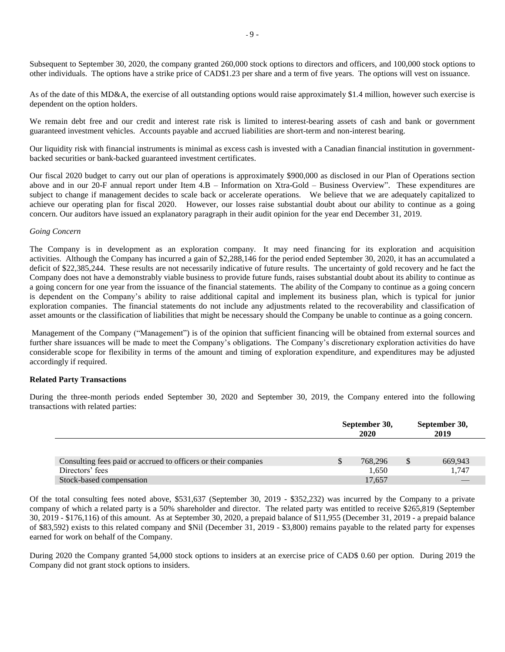Subsequent to September 30, 2020, the company granted 260,000 stock options to directors and officers, and 100,000 stock options to other individuals. The options have a strike price of CAD\$1.23 per share and a term of five years. The options will vest on issuance.

As of the date of this MD&A, the exercise of all outstanding options would raise approximately \$1.4 million, however such exercise is dependent on the option holders.

We remain debt free and our credit and interest rate risk is limited to interest-bearing assets of cash and bank or government guaranteed investment vehicles. Accounts payable and accrued liabilities are short-term and non-interest bearing.

Our liquidity risk with financial instruments is minimal as excess cash is invested with a Canadian financial institution in governmentbacked securities or bank-backed guaranteed investment certificates.

Our fiscal 2020 budget to carry out our plan of operations is approximately \$900,000 as disclosed in our Plan of Operations section above and in our 20-F annual report under Item 4.B – Information on Xtra-Gold – Business Overview". These expenditures are subject to change if management decides to scale back or accelerate operations. We believe that we are adequately capitalized to achieve our operating plan for fiscal 2020. However, our losses raise substantial doubt about our ability to continue as a going concern. Our auditors have issued an explanatory paragraph in their audit opinion for the year end December 31, 2019.

### *Going Concern*

The Company is in development as an exploration company. It may need financing for its exploration and acquisition activities. Although the Company has incurred a gain of \$2,288,146 for the period ended September 30, 2020, it has an accumulated a deficit of \$22,385,244. These results are not necessarily indicative of future results. The uncertainty of gold recovery and he fact the Company does not have a demonstrably viable business to provide future funds, raises substantial doubt about its ability to continue as a going concern for one year from the issuance of the financial statements. The ability of the Company to continue as a going concern is dependent on the Company's ability to raise additional capital and implement its business plan, which is typical for junior exploration companies. The financial statements do not include any adjustments related to the recoverability and classification of asset amounts or the classification of liabilities that might be necessary should the Company be unable to continue as a going concern.

Management of the Company ("Management") is of the opinion that sufficient financing will be obtained from external sources and further share issuances will be made to meet the Company's obligations. The Company's discretionary exploration activities do have considerable scope for flexibility in terms of the amount and timing of exploration expenditure, and expenditures may be adjusted accordingly if required.

### **Related Party Transactions**

During the three-month periods ended September 30, 2020 and September 30, 2019, the Company entered into the following transactions with related parties:

|                                                                | September 30,<br>2020 |         |               | September 30,<br>2019 |
|----------------------------------------------------------------|-----------------------|---------|---------------|-----------------------|
|                                                                |                       |         |               |                       |
| Consulting fees paid or accrued to officers or their companies | J.                    | 768,296 | <sup>\$</sup> | 669,943               |
| Directors' fees                                                |                       | 1,650   |               | 1.747                 |
| Stock-based compensation                                       |                       | 17,657  |               |                       |

Of the total consulting fees noted above, \$531,637 (September 30, 2019 - \$352,232) was incurred by the Company to a private company of which a related party is a 50% shareholder and director. The related party was entitled to receive \$265,819 (September 30, 2019 - \$176,116) of this amount. As at September 30, 2020, a prepaid balance of \$11,955 (December 31, 2019 - a prepaid balance of \$83,592) exists to this related company and \$Nil (December 31, 2019 - \$3,800) remains payable to the related party for expenses earned for work on behalf of the Company.

During 2020 the Company granted 54,000 stock options to insiders at an exercise price of CAD\$ 0.60 per option. During 2019 the Company did not grant stock options to insiders.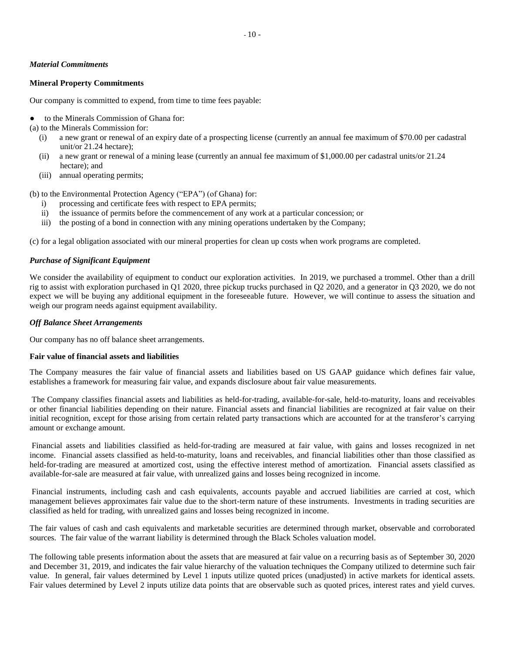### *Material Commitments*

### **Mineral Property Commitments**

Our company is committed to expend, from time to time fees payable:

to the Minerals Commission of Ghana for:

(a) to the Minerals Commission for:

- (i) a new grant or renewal of an expiry date of a prospecting license (currently an annual fee maximum of \$70.00 per cadastral unit/or 21.24 hectare);
- (ii) a new grant or renewal of a mining lease (currently an annual fee maximum of \$1,000.00 per cadastral units/or 21.24 hectare); and
- (iii) annual operating permits;

(b) to the Environmental Protection Agency ("EPA") (of Ghana) for:

- i) processing and certificate fees with respect to EPA permits;
- ii) the issuance of permits before the commencement of any work at a particular concession; or
- iii) the posting of a bond in connection with any mining operations undertaken by the Company;

(c) for a legal obligation associated with our mineral properties for clean up costs when work programs are completed.

### *Purchase of Significant Equipment*

We consider the availability of equipment to conduct our exploration activities. In 2019, we purchased a trommel. Other than a drill rig to assist with exploration purchased in Q1 2020, three pickup trucks purchased in Q2 2020, and a generator in Q3 2020, we do not expect we will be buying any additional equipment in the foreseeable future. However, we will continue to assess the situation and weigh our program needs against equipment availability.

### *Off Balance Sheet Arrangements*

Our company has no off balance sheet arrangements.

### **Fair value of financial assets and liabilities**

The Company measures the fair value of financial assets and liabilities based on US GAAP guidance which defines fair value, establishes a framework for measuring fair value, and expands disclosure about fair value measurements.

The Company classifies financial assets and liabilities as held-for-trading, available-for-sale, held-to-maturity, loans and receivables or other financial liabilities depending on their nature. Financial assets and financial liabilities are recognized at fair value on their initial recognition, except for those arising from certain related party transactions which are accounted for at the transferor's carrying amount or exchange amount.

Financial assets and liabilities classified as held-for-trading are measured at fair value, with gains and losses recognized in net income. Financial assets classified as held-to-maturity, loans and receivables, and financial liabilities other than those classified as held-for-trading are measured at amortized cost, using the effective interest method of amortization. Financial assets classified as available-for-sale are measured at fair value, with unrealized gains and losses being recognized in income.

Financial instruments, including cash and cash equivalents, accounts payable and accrued liabilities are carried at cost, which management believes approximates fair value due to the short-term nature of these instruments. Investments in trading securities are classified as held for trading, with unrealized gains and losses being recognized in income.

The fair values of cash and cash equivalents and marketable securities are determined through market, observable and corroborated sources. The fair value of the warrant liability is determined through the Black Scholes valuation model.

The following table presents information about the assets that are measured at fair value on a recurring basis as of September 30, 2020 and December 31, 2019, and indicates the fair value hierarchy of the valuation techniques the Company utilized to determine such fair value. In general, fair values determined by Level 1 inputs utilize quoted prices (unadjusted) in active markets for identical assets. Fair values determined by Level 2 inputs utilize data points that are observable such as quoted prices, interest rates and yield curves.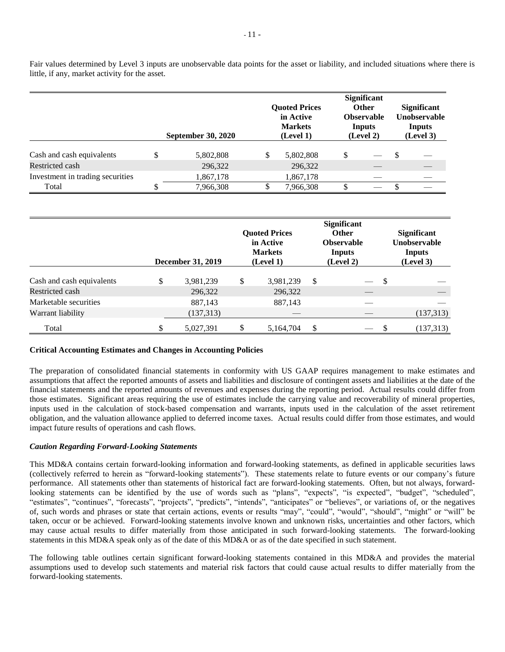Fair values determined by Level 3 inputs are unobservable data points for the asset or liability, and included situations where there is little, if any, market activity for the asset.

|                                  |                           |   |                                                     |               | <b>Significant</b>                          |                                                     |
|----------------------------------|---------------------------|---|-----------------------------------------------------|---------------|---------------------------------------------|-----------------------------------------------------|
|                                  |                           |   | <b>Quoted Prices</b><br>in Active<br><b>Markets</b> |               | <b>Other</b><br><b>Observable</b><br>Inputs | <b>Significant</b><br>Unobservable<br><b>Inputs</b> |
|                                  | <b>September 30, 2020</b> |   | (Level 1)                                           |               | (Level 2)                                   | (Level 3)                                           |
| Cash and cash equivalents        | 5,802,808                 | S | 5,802,808                                           | <sup>\$</sup> |                                             | \$                                                  |
| Restricted cash                  | 296,322                   |   | 296,322                                             |               |                                             |                                                     |
| Investment in trading securities | 1,867,178                 |   | 1,867,178                                           |               |                                             |                                                     |
| Total                            | 7,966,308                 |   | 7,966,308                                           |               | $\overline{\phantom{a}}$                    |                                                     |

|                           | <b>December 31, 2019</b> | <b>Quoted Prices</b><br>in Active<br><b>Markets</b><br>(Level 1) |    | <b>Significant</b><br><b>Other</b><br><b>Observable</b><br>Inputs<br>(Level 2) |               | <b>Significant</b><br>Unobservable<br><b>Inputs</b><br>(Level 3) |
|---------------------------|--------------------------|------------------------------------------------------------------|----|--------------------------------------------------------------------------------|---------------|------------------------------------------------------------------|
| Cash and cash equivalents | \$<br>3,981,239          | \$<br>3,981,239                                                  | S  |                                                                                | <sup>\$</sup> |                                                                  |
| Restricted cash           | 296,322                  | 296,322                                                          |    |                                                                                |               |                                                                  |
| Marketable securities     | 887,143                  | 887,143                                                          |    |                                                                                |               |                                                                  |
| Warrant liability         | (137, 313)               |                                                                  |    |                                                                                |               | (137,313)                                                        |
| Total                     | 5,027,391                | 5,164,704                                                        | \$ |                                                                                |               | (137, 313)                                                       |

### **Critical Accounting Estimates and Changes in Accounting Policies**

The preparation of consolidated financial statements in conformity with US GAAP requires management to make estimates and assumptions that affect the reported amounts of assets and liabilities and disclosure of contingent assets and liabilities at the date of the financial statements and the reported amounts of revenues and expenses during the reporting period. Actual results could differ from those estimates. Significant areas requiring the use of estimates include the carrying value and recoverability of mineral properties, inputs used in the calculation of stock-based compensation and warrants, inputs used in the calculation of the asset retirement obligation, and the valuation allowance applied to deferred income taxes. Actual results could differ from those estimates, and would impact future results of operations and cash flows.

### *Caution Regarding Forward-Looking Statements*

This MD&A contains certain forward-looking information and forward-looking statements, as defined in applicable securities laws (collectively referred to herein as "forward-looking statements"). These statements relate to future events or our company's future performance. All statements other than statements of historical fact are forward-looking statements. Often, but not always, forwardlooking statements can be identified by the use of words such as "plans", "expects", "is expected", "budget", "scheduled", "estimates", "continues", "forecasts", "projects", "predicts", "intends", "anticipates" or "believes", or variations of, or the negatives of, such words and phrases or state that certain actions, events or results "may", "could", "would", "should", "might" or "will" be taken, occur or be achieved. Forward-looking statements involve known and unknown risks, uncertainties and other factors, which may cause actual results to differ materially from those anticipated in such forward-looking statements. The forward-looking statements in this MD&A speak only as of the date of this MD&A or as of the date specified in such statement.

The following table outlines certain significant forward-looking statements contained in this MD&A and provides the material assumptions used to develop such statements and material risk factors that could cause actual results to differ materially from the forward-looking statements.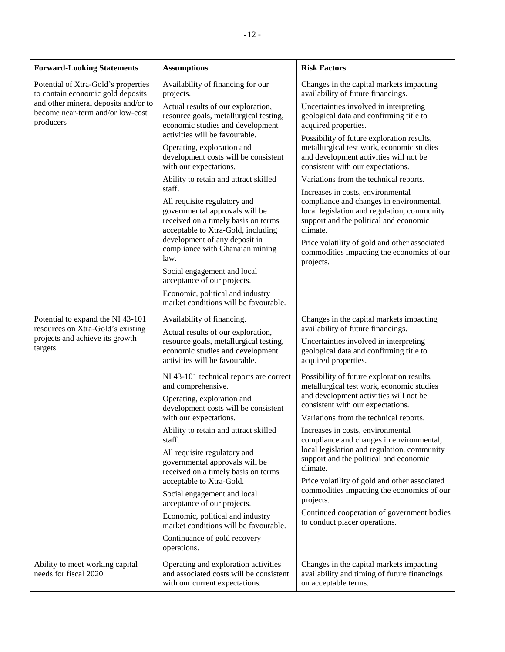| <b>Forward-Looking Statements</b>                                                     | <b>Assumptions</b>                                                                                                                                    | <b>Risk Factors</b>                                                                                                                                                                |
|---------------------------------------------------------------------------------------|-------------------------------------------------------------------------------------------------------------------------------------------------------|------------------------------------------------------------------------------------------------------------------------------------------------------------------------------------|
| Potential of Xtra-Gold's properties<br>to contain economic gold deposits              | Availability of financing for our<br>projects.                                                                                                        | Changes in the capital markets impacting<br>availability of future financings.                                                                                                     |
| and other mineral deposits and/or to<br>become near-term and/or low-cost<br>producers | Actual results of our exploration,<br>resource goals, metallurgical testing,<br>economic studies and development                                      | Uncertainties involved in interpreting<br>geological data and confirming title to<br>acquired properties.                                                                          |
|                                                                                       | activities will be favourable.<br>Operating, exploration and<br>development costs will be consistent<br>with our expectations.                        | Possibility of future exploration results,<br>metallurgical test work, economic studies<br>and development activities will not be<br>consistent with our expectations.             |
|                                                                                       | Ability to retain and attract skilled                                                                                                                 | Variations from the technical reports.                                                                                                                                             |
|                                                                                       | staff.<br>All requisite regulatory and<br>governmental approvals will be<br>received on a timely basis on terms<br>acceptable to Xtra-Gold, including | Increases in costs, environmental<br>compliance and changes in environmental,<br>local legislation and regulation, community<br>support and the political and economic<br>climate. |
|                                                                                       | development of any deposit in<br>compliance with Ghanaian mining<br>law.                                                                              | Price volatility of gold and other associated<br>commodities impacting the economics of our<br>projects.                                                                           |
|                                                                                       | Social engagement and local<br>acceptance of our projects.                                                                                            |                                                                                                                                                                                    |
|                                                                                       | Economic, political and industry<br>market conditions will be favourable.                                                                             |                                                                                                                                                                                    |
| Potential to expand the NI 43-101                                                     | Availability of financing.                                                                                                                            | Changes in the capital markets impacting<br>availability of future financings.                                                                                                     |
| resources on Xtra-Gold's existing<br>projects and achieve its growth<br>targets       | Actual results of our exploration,<br>resource goals, metallurgical testing,<br>economic studies and development<br>activities will be favourable.    | Uncertainties involved in interpreting<br>geological data and confirming title to<br>acquired properties.                                                                          |
|                                                                                       | NI 43-101 technical reports are correct<br>and comprehensive.                                                                                         | Possibility of future exploration results,<br>metallurgical test work, economic studies                                                                                            |
|                                                                                       | Operating, exploration and<br>development costs will be consistent                                                                                    | and development activities will not be<br>consistent with our expectations.                                                                                                        |
|                                                                                       | with our expectations.                                                                                                                                | Variations from the technical reports.                                                                                                                                             |
|                                                                                       | Ability to retain and attract skilled<br>staff.                                                                                                       | Increases in costs, environmental<br>compliance and changes in environmental,                                                                                                      |
|                                                                                       | All requisite regulatory and<br>governmental approvals will be<br>received on a timely basis on terms                                                 | local legislation and regulation, community<br>support and the political and economic<br>climate.                                                                                  |
|                                                                                       | acceptable to Xtra-Gold.                                                                                                                              | Price volatility of gold and other associated<br>commodities impacting the economics of our                                                                                        |
|                                                                                       | Social engagement and local<br>acceptance of our projects.                                                                                            | projects.                                                                                                                                                                          |
|                                                                                       | Economic, political and industry<br>market conditions will be favourable.                                                                             | Continued cooperation of government bodies<br>to conduct placer operations.                                                                                                        |
|                                                                                       | Continuance of gold recovery<br>operations.                                                                                                           |                                                                                                                                                                                    |
| Ability to meet working capital<br>needs for fiscal 2020                              | Operating and exploration activities<br>and associated costs will be consistent<br>with our current expectations.                                     | Changes in the capital markets impacting<br>availability and timing of future financings<br>on acceptable terms.                                                                   |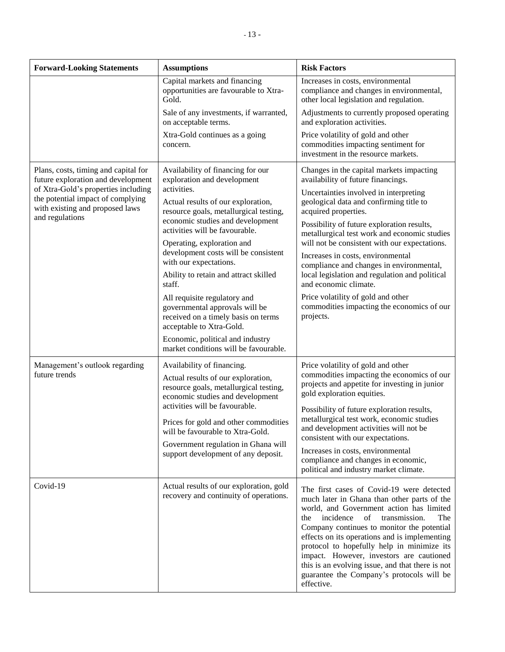| <b>Forward-Looking Statements</b>                                                                                   | <b>Assumptions</b>                                                                                                                             | <b>Risk Factors</b>                                                                                                                                                                                                                                                                                                                                                                                                                                                                            |
|---------------------------------------------------------------------------------------------------------------------|------------------------------------------------------------------------------------------------------------------------------------------------|------------------------------------------------------------------------------------------------------------------------------------------------------------------------------------------------------------------------------------------------------------------------------------------------------------------------------------------------------------------------------------------------------------------------------------------------------------------------------------------------|
|                                                                                                                     | Capital markets and financing<br>opportunities are favourable to Xtra-<br>Gold.                                                                | Increases in costs, environmental<br>compliance and changes in environmental,<br>other local legislation and regulation.                                                                                                                                                                                                                                                                                                                                                                       |
|                                                                                                                     | Sale of any investments, if warranted,<br>on acceptable terms.                                                                                 | Adjustments to currently proposed operating<br>and exploration activities.                                                                                                                                                                                                                                                                                                                                                                                                                     |
|                                                                                                                     | Xtra-Gold continues as a going<br>concern.                                                                                                     | Price volatility of gold and other<br>commodities impacting sentiment for<br>investment in the resource markets.                                                                                                                                                                                                                                                                                                                                                                               |
| Plans, costs, timing and capital for<br>future exploration and development                                          | Availability of financing for our<br>exploration and development                                                                               | Changes in the capital markets impacting<br>availability of future financings.                                                                                                                                                                                                                                                                                                                                                                                                                 |
| of Xtra-Gold's properties including<br>the potential impact of complying<br>with existing and proposed laws         | activities.<br>Actual results of our exploration,<br>resource goals, metallurgical testing,                                                    | Uncertainties involved in interpreting<br>geological data and confirming title to<br>acquired properties.                                                                                                                                                                                                                                                                                                                                                                                      |
| and regulations<br>economic studies and development<br>activities will be favourable.<br>Operating, exploration and | Possibility of future exploration results,<br>metallurgical test work and economic studies<br>will not be consistent with our expectations.    |                                                                                                                                                                                                                                                                                                                                                                                                                                                                                                |
|                                                                                                                     | development costs will be consistent<br>with our expectations.<br>Ability to retain and attract skilled                                        | Increases in costs, environmental<br>compliance and changes in environmental,<br>local legislation and regulation and political                                                                                                                                                                                                                                                                                                                                                                |
|                                                                                                                     | staff.                                                                                                                                         | and economic climate.                                                                                                                                                                                                                                                                                                                                                                                                                                                                          |
|                                                                                                                     | All requisite regulatory and<br>governmental approvals will be<br>received on a timely basis on terms<br>acceptable to Xtra-Gold.              | Price volatility of gold and other<br>commodities impacting the economics of our<br>projects.                                                                                                                                                                                                                                                                                                                                                                                                  |
|                                                                                                                     | Economic, political and industry<br>market conditions will be favourable.                                                                      |                                                                                                                                                                                                                                                                                                                                                                                                                                                                                                |
| Management's outlook regarding<br>future trends                                                                     | Availability of financing.<br>Actual results of our exploration,<br>resource goals, metallurgical testing,<br>economic studies and development |                                                                                                                                                                                                                                                                                                                                                                                                                                                                                                |
|                                                                                                                     | activities will be favourable.<br>Prices for gold and other commodities                                                                        | Possibility of future exploration results,<br>metallurgical test work, economic studies<br>and development activities will not be                                                                                                                                                                                                                                                                                                                                                              |
|                                                                                                                     | will be favourable to Xtra-Gold.<br>Government regulation in Ghana will<br>support development of any deposit.                                 | consistent with our expectations.<br>Increases in costs, environmental<br>compliance and changes in economic,<br>political and industry market climate.                                                                                                                                                                                                                                                                                                                                        |
| Covid-19                                                                                                            | Actual results of our exploration, gold<br>recovery and continuity of operations.                                                              | The first cases of Covid-19 were detected<br>much later in Ghana than other parts of the<br>world, and Government action has limited<br>transmission.<br>incidence<br>of<br>the<br>The<br>Company continues to monitor the potential<br>effects on its operations and is implementing<br>protocol to hopefully help in minimize its<br>impact. However, investors are cautioned<br>this is an evolving issue, and that there is not<br>guarantee the Company's protocols will be<br>effective. |